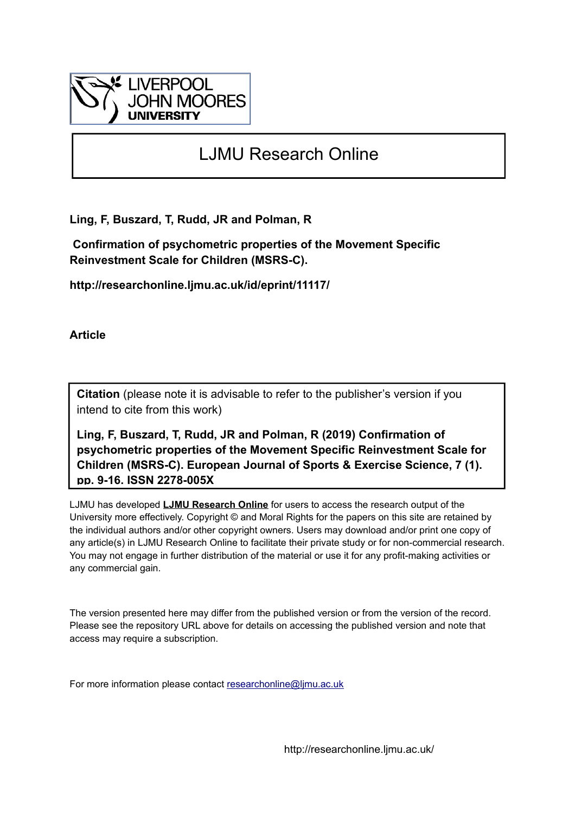

# LJMU Research Online

**Ling, F, Buszard, T, Rudd, JR and Polman, R**

 **Confirmation of psychometric properties of the Movement Specific Reinvestment Scale for Children (MSRS-C).**

**http://researchonline.ljmu.ac.uk/id/eprint/11117/**

**Article**

**Citation** (please note it is advisable to refer to the publisher's version if you intend to cite from this work)

**Ling, F, Buszard, T, Rudd, JR and Polman, R (2019) Confirmation of psychometric properties of the Movement Specific Reinvestment Scale for Children (MSRS-C). European Journal of Sports & Exercise Science, 7 (1). pp. 9-16. ISSN 2278-005X** 

LJMU has developed **[LJMU Research Online](http://researchonline.ljmu.ac.uk/)** for users to access the research output of the University more effectively. Copyright © and Moral Rights for the papers on this site are retained by the individual authors and/or other copyright owners. Users may download and/or print one copy of any article(s) in LJMU Research Online to facilitate their private study or for non-commercial research. You may not engage in further distribution of the material or use it for any profit-making activities or any commercial gain.

The version presented here may differ from the published version or from the version of the record. Please see the repository URL above for details on accessing the published version and note that access may require a subscription.

For more information please contact [researchonline@ljmu.ac.uk](mailto:researchonline@ljmu.ac.uk)

http://researchonline.ljmu.ac.uk/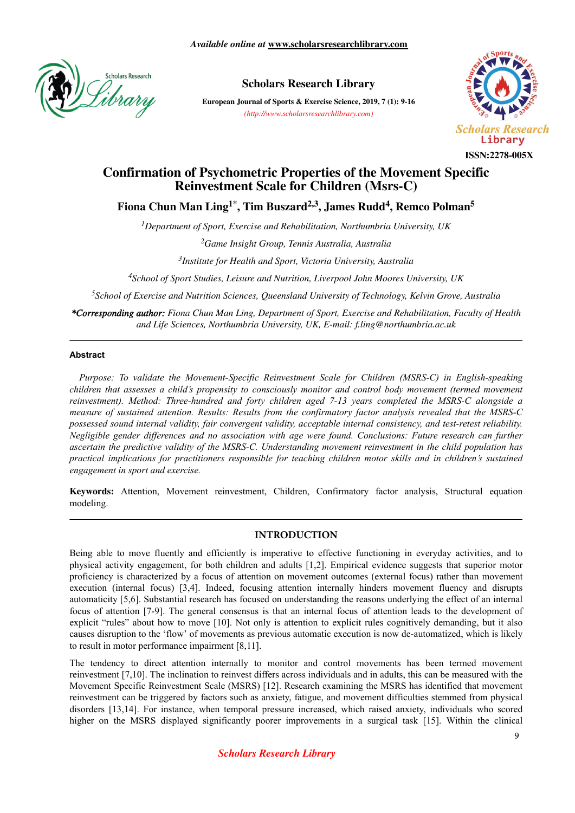

# **Scholars Research Library**

**European Journal of Sports & Exercise Science, 2019, 7 (1): 9-16** *(http://www.scholarsresearchlibrary.com)*



#### **ISSN:2278-005X**

# **Confirmation of Psychometric Properties of the Movement Specific Reinvestment Scale for Children (Msrs-C)**

**Fiona Chun Man Ling1\*, Tim Buszard2,3, James Rudd<sup>4</sup> , Remco Polman<sup>5</sup>**

*<sup>1</sup>Department of Sport, Exercise and Rehabilitation, Northumbria University, UK*

*<sup>2</sup>Game Insight Group, Tennis Australia, Australia*

*3 Institute for Health and Sport, Victoria University, Australia*

*<sup>4</sup>School of Sport Studies, Leisure and Nutrition, Liverpool John Moores University, UK*

*<sup>5</sup>School of Exercise and Nutrition Sciences, Queensland University of Technology, Kelvin Grove, Australia*

*\*Corresponding author: Fiona Chun Man Ling, Department of Sport, Exercise and Rehabilitation, Faculty of Health and Life Sciences, Northumbria University, UK, E-mail: f.ling@northumbria.ac.uk*

#### **Abstract**

*Purpose: To validate the Movement-Specific Reinvestment Scale for Children (MSRS-C) in English-speaking children that assesses a child's propensity to consciously monitor and control body movement (termed movement reinvestment). Method: Three-hundred and forty children aged 7-13 years completed the MSRS-C alongside a measure of sustained attention. Results: Results from the confirmatory factor analysis revealed that the MSRS-C possessed sound internal validity, fair convergent validity, acceptable internal consistency, and test-retest reliability. Negligible gender differences and no association with age were found. Conclusions: Future research can further ascertain the predictive validity of the MSRS-C. Understanding movement reinvestment in the child population has practical implications for practitioners responsible for teaching children motor skills and in children's sustained engagement in sport and exercise.*

**Keywords:** Attention, Movement reinvestment, Children, Confirmatory factor analysis, Structural equation modeling.

#### **INTRODUCTION**

Being able to move fluently and efficiently is imperative to effective functioning in everyday activities, and to physical activity engagement, for both children and adults [1,2]. Empirical evidence suggests that superior motor proficiency is characterized by a focus of attention on movement outcomes (external focus) rather than movement execution (internal focus) [3,4]. Indeed, focusing attention internally hinders movement fluency and disrupts automaticity [5,6]. Substantial research has focused on understanding the reasons underlying the effect of an internal focus of attention [7-9]. The general consensus is that an internal focus of attention leads to the development of explicit "rules" about how to move [10]. Not only is attention to explicit rules cognitively demanding, but it also causes disruption to the 'flow' of movements as previous automatic execution is now de-automatized, which is likely to result in motor performance impairment [8,11].

The tendency to direct attention internally to monitor and control movements has been termed movement reinvestment [7,10]. The inclination to reinvest differs across individuals and in adults, this can be measured with the Movement Specific Reinvestment Scale (MSRS) [12]. Research examining the MSRS has identified that movement reinvestment can be triggered by factors such as anxiety, fatigue, and movement difficulties stemmed from physical disorders [13,14]. For instance, when temporal pressure increased, which raised anxiety, individuals who scored higher on the MSRS displayed significantly poorer improvements in a surgical task [15]. Within the clinical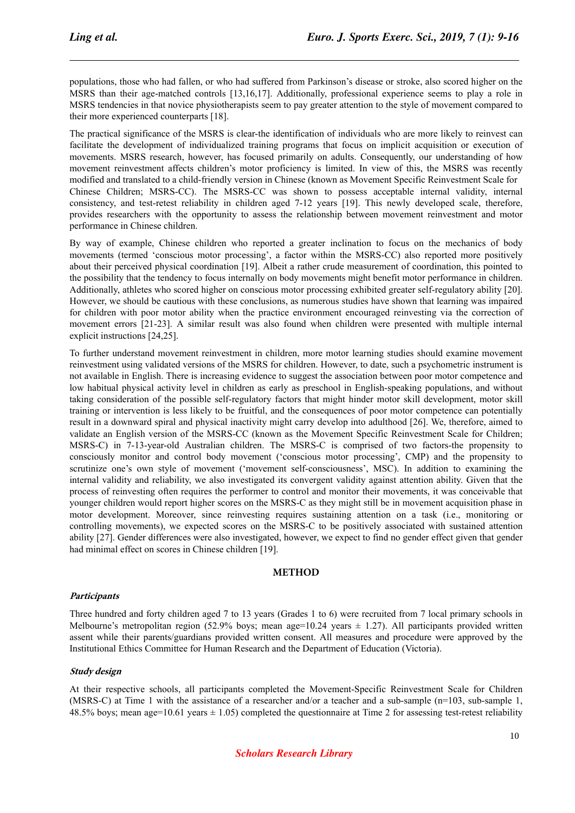populations, those who had fallen, or who had suffered from Parkinson's disease or stroke, also scored higher on the MSRS than their age-matched controls [13,16,17]. Additionally, professional experience seems to play a role in MSRS tendencies in that novice physiotherapists seem to pay greater attention to the style of movement compared to their more experienced counterparts [18].

The practical significance of the MSRS is clear-the identification of individuals who are more likely to reinvest can facilitate the development of individualized training programs that focus on implicit acquisition or execution of movements. MSRS research, however, has focused primarily on adults. Consequently, our understanding of how movement reinvestment affects children's motor proficiency is limited. In view of this, the MSRS was recently modified and translated to a child-friendly version in Chinese (known as Movement Specific Reinvestment Scale for Chinese Children; MSRS-CC). The MSRS-CC was shown to possess acceptable internal validity, internal consistency, and test-retest reliability in children aged 7-12 years [19]. This newly developed scale, therefore, provides researchers with the opportunity to assess the relationship between movement reinvestment and motor performance in Chinese children.

By way of example, Chinese children who reported a greater inclination to focus on the mechanics of body movements (termed 'conscious motor processing', a factor within the MSRS-CC) also reported more positively about their perceived physical coordination [19]. Albeit a rather crude measurement of coordination, this pointed to the possibility that the tendency to focus internally on body movements might benefit motor performance in children. Additionally, athletes who scored higher on conscious motor processing exhibited greater self-regulatory ability [20]. However, we should be cautious with these conclusions, as numerous studies have shown that learning was impaired for children with poor motor ability when the practice environment encouraged reinvesting via the correction of movement errors [21-23]. A similar result was also found when children were presented with multiple internal explicit instructions [24,25].

To further understand movement reinvestment in children, more motor learning studies should examine movement reinvestment using validated versions of the MSRS for children. However, to date, such a psychometric instrument is not available in English. There is increasing evidence to suggest the association between poor motor competence and low habitual physical activity level in children as early as preschool in English-speaking populations, and without taking consideration of the possible self-regulatory factors that might hinder motor skill development, motor skill training or intervention is less likely to be fruitful, and the consequences of poor motor competence can potentially result in a downward spiral and physical inactivity might carry develop into adulthood [26]. We, therefore, aimed to validate an English version of the MSRS-CC (known as the Movement Specific Reinvestment Scale for Children; MSRS-C) in 7-13-year-old Australian children. The MSRS-C is comprised of two factors-the propensity to consciously monitor and control body movement ('conscious motor processing', CMP) and the propensity to scrutinize one's own style of movement ('movement self-consciousness', MSC). In addition to examining the internal validity and reliability, we also investigated its convergent validity against attention ability. Given that the process of reinvesting often requires the performer to control and monitor their movements, it was conceivable that younger children would report higher scores on the MSRS-C as they might still be in movement acquisition phase in motor development. Moreover, since reinvesting requires sustaining attention on a task (i.e., monitoring or controlling movements), we expected scores on the MSRS-C to be positively associated with sustained attention ability [27]. Gender differences were also investigated, however, we expect to find no gender effect given that gender had minimal effect on scores in Chinese children [19].

#### **METHOD**

#### **Participants**

Three hundred and forty children aged 7 to 13 years (Grades 1 to 6) were recruited from 7 local primary schools in Melbourne's metropolitan region (52.9% boys; mean age=10.24 years  $\pm$  1.27). All participants provided written assent while their parents/guardians provided written consent. All measures and procedure were approved by the Institutional Ethics Committee for Human Research and the Department of Education (Victoria).

# **Study design**

At their respective schools, all participants completed the Movement-Specific Reinvestment Scale for Children (MSRS-C) at Time 1 with the assistance of a researcher and/or a teacher and a sub-sample (n=103, sub-sample 1, 48.5% boys; mean age=10.61 years  $\pm$  1.05) completed the questionnaire at Time 2 for assessing test-retest reliability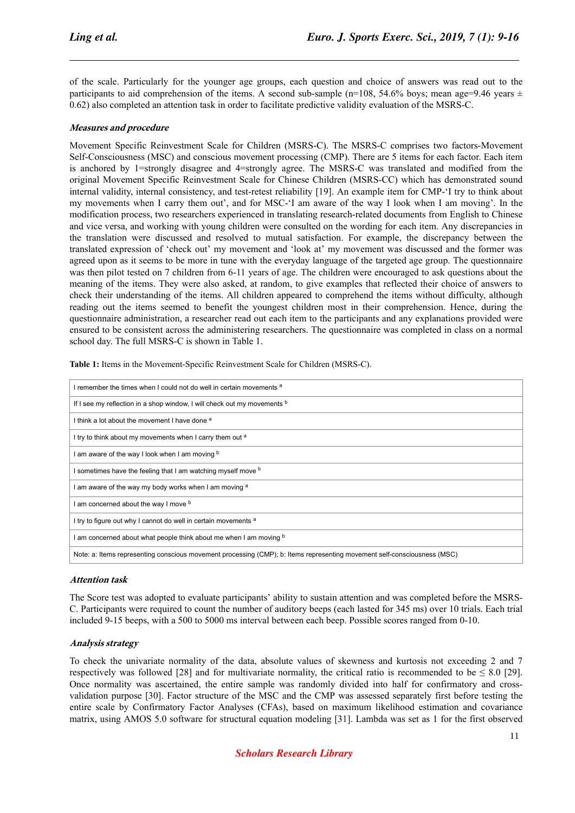of the scale. Particularly for the younger age groups, each question and choice of answers was read out to the participants to aid comprehension of the items. A second sub-sample (n=108, 54.6% boys; mean age=9.46 years  $\pm$ 0.62) also completed an attention task in order to facilitate predictive validity evaluation of the MSRS-C.

#### **Measures and procedure**

Movement Specific Reinvestment Scale for Children (MSRS-C). The MSRS-C comprises two factors-Movement Self-Consciousness (MSC) and conscious movement processing (CMP). There are 5 items for each factor. Each item is anchored by 1=strongly disagree and 4=strongly agree. The MSRS-C was translated and modified from the original Movement Specific Reinvestment Scale for Chinese Children (MSRS-CC) which has demonstrated sound internal validity, internal consistency, and test-retest reliability [19]. An example item for CMP-'I try to think about my movements when I carry them out', and for MSC-'I am aware of the way I look when I am moving'. In the modification process, two researchers experienced in translating research-related documents from English to Chinese and vice versa, and working with young children were consulted on the wording for each item. Any discrepancies in the translation were discussed and resolved to mutual satisfaction. For example, the discrepancy between the translated expression of 'check out' my movement and 'look at' my movement was discussed and the former was agreed upon as it seems to be more in tune with the everyday language of the targeted age group. The questionnaire was then pilot tested on 7 children from 6-11 years of age. The children were encouraged to ask questions about the meaning of the items. They were also asked, at random, to give examples that reflected their choice of answers to check their understanding of the items. All children appeared to comprehend the items without difficulty, although reading out the items seemed to benefit the youngest children most in their comprehension. Hence, during the questionnaire administration, a researcher read out each item to the participants and any explanations provided were ensured to be consistent across the administering researchers. The questionnaire was completed in class on a normal school day. The full MSRS-C is shown in Table 1.

| remember the times when I could not do well in certain movements <sup>a</sup>                                            |
|--------------------------------------------------------------------------------------------------------------------------|
| If I see my reflection in a shop window, I will check out my movements b                                                 |
| I think a lot about the movement I have done <sup>a</sup>                                                                |
| I try to think about my movements when I carry them out <sup>a</sup>                                                     |
| am aware of the way I look when I am moving b                                                                            |
| sometimes have the feeling that I am watching myself move b                                                              |
| am aware of the way my body works when I am moving a                                                                     |
| am concerned about the way I move b                                                                                      |
| I try to figure out why I cannot do well in certain movements a                                                          |
| am concerned about what people think about me when I am moving b                                                         |
| Note: a: Items representing conscious movement processing (CMP); b: Items representing movement self-consciousness (MSC) |

**Table 1:** Items in the Movement-Specific Reinvestment Scale for Children (MSRS-C).

#### **Attention task**

The Score test was adopted to evaluate participants' ability to sustain attention and was completed before the MSRS-C. Participants were required to count the number of auditory beeps (each lasted for 345 ms) over 10 trials. Each trial included 9-15 beeps, with a 500 to 5000 ms interval between each beep. Possible scores ranged from 0-10.

#### **Analysis strategy**

To check the univariate normality of the data, absolute values of skewness and kurtosis not exceeding 2 and 7 respectively was followed [28] and for multivariate normality, the critical ratio is recommended to be  $\leq 8.0$  [29]. Once normality was ascertained, the entire sample was randomly divided into half for confirmatory and crossvalidation purpose [30]. Factor structure of the MSC and the CMP was assessed separately first before testing the entire scale by Confirmatory Factor Analyses (CFAs), based on maximum likelihood estimation and covariance matrix, using AMOS 5.0 software for structural equation modeling [31]. Lambda was set as 1 for the first observed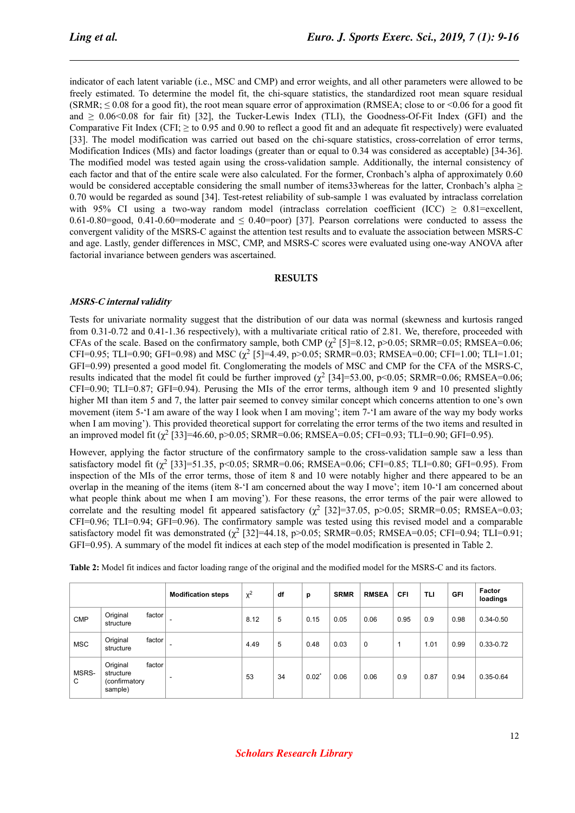indicator of each latent variable (i.e., MSC and CMP) and error weights, and all other parameters were allowed to be freely estimated. To determine the model fit, the chi-square statistics, the standardized root mean square residual  $(SRMR; \leq 0.08$  for a good fit), the root mean square error of approximation (RMSEA; close to or <0.06 for a good fit and  $\geq 0.06$  < 0.08 for fair fit) [32], the Tucker-Lewis Index (TLI), the Goodness-Of-Fit Index (GFI) and the Comparative Fit Index (CFI;  $\geq$  to 0.95 and 0.90 to reflect a good fit and an adequate fit respectively) were evaluated [33]. The model modification was carried out based on the chi-square statistics, cross-correlation of error terms, Modification Indices (MIs) and factor loadings (greater than or equal to 0.34 was considered as acceptable) [34-36]. The modified model was tested again using the cross-validation sample. Additionally, the internal consistency of each factor and that of the entire scale were also calculated. For the former, Cronbach's alpha of approximately 0.60 would be considered acceptable considering the small number of items33whereas for the latter, Cronbach's alpha  $\geq$ 0.70 would be regarded as sound [34]. Test-retest reliability of sub-sample 1 was evaluated by intraclass correlation with 95% CI using a two-way random model (intraclass correlation coefficient (ICC)  $\geq$  0.81=excellent, 0.61-0.80=good, 0.41-0.60=moderate and  $\leq$  0.40=poor) [37]. Pearson correlations were conducted to assess the convergent validity of the MSRS-C against the attention test results and to evaluate the association between MSRS-C and age. Lastly, gender differences in MSC, CMP, and MSRS-C scores were evaluated using one-way ANOVA after factorial invariance between genders was ascertained.

#### **RESULTS**

#### **MSRS-C internal validity**

Tests for univariate normality suggest that the distribution of our data was normal (skewness and kurtosis ranged from 0.31-0.72 and 0.41-1.36 respectively), with a multivariate critical ratio of 2.81. We, therefore, proceeded with CFAs of the scale. Based on the confirmatory sample, both CMP  $(\chi^2 \text{ [5] = 8.12, p>0.05; SRMR = 0.05; RMSEA = 0.06;}$ CFI=0.95; TLI=0.90; GFI=0.98) and MSC  $(\chi^2$  [5]=4.49, p>0.05; SRMR=0.03; RMSEA=0.00; CFI=1.00; TLI=1.01; GFI=0.99) presented a good model fit. Conglomerating the models of MSC and CMP for the CFA of the MSRS-C, results indicated that the model fit could be further improved  $(\chi^2$  [34]=53.00, p<0.05; SRMR=0.06; RMSEA=0.06; CFI=0.90; TLI=0.87; GFI=0.94). Perusing the MIs of the error terms, although item 9 and 10 presented slightly higher MI than item 5 and 7, the latter pair seemed to convey similar concept which concerns attention to one's own movement (item 5-'I am aware of the way I look when I am moving'; item 7-'I am aware of the way my body works when I am moving'). This provided theoretical support for correlating the error terms of the two items and resulted in an improved model fit  $(\chi^2$  [33]=46.60, p>0.05; SRMR=0.06; RMSEA=0.05; CFI=0.93; TLI=0.90; GFI=0.95).

However, applying the factor structure of the confirmatory sample to the cross-validation sample saw a less than satisfactory model fit  $(\chi^2$  [33]=51.35, p<0.05; SRMR=0.06; RMSEA=0.06; CFI=0.85; TLI=0.80; GFI=0.95). From inspection of the MIs of the error terms, those of item 8 and 10 were notably higher and there appeared to be an overlap in the meaning of the items (item 8-'I am concerned about the way I move'; item 10-'I am concerned about what people think about me when I am moving'). For these reasons, the error terms of the pair were allowed to correlate and the resulting model fit appeared satisfactory ( $\chi^2$  [32]=37.05, p>0.05; SRMR=0.05; RMSEA=0.03; CFI=0.96; TLI=0.94; GFI=0.96). The confirmatory sample was tested using this revised model and a comparable satisfactory model fit was demonstrated  $(\chi^2$  [32]=44.18, p>0.05; SRMR=0.05; RMSEA=0.05; CFI=0.94; TLI=0.91; GFI=0.95). A summary of the model fit indices at each step of the model modification is presented in Table 2.

|            |                                                             | <b>Modification steps</b> | $x^2$ | df | p                | <b>SRMR</b> | <b>RMSEA</b> | <b>CFI</b> | TLI  | <b>GFI</b> | Factor<br>loadings |
|------------|-------------------------------------------------------------|---------------------------|-------|----|------------------|-------------|--------------|------------|------|------------|--------------------|
| <b>CMP</b> | Original<br>factor<br>structure                             | ۰                         | 8.12  | 5  | 0.15             | 0.05        | 0.06         | 0.95       | 0.9  | 0.98       | $0.34 - 0.50$      |
| <b>MSC</b> | Original<br>factor<br>structure                             |                           | 4.49  | 5  | 0.48             | 0.03        | 0            |            | 1.01 | 0.99       | $0.33 - 0.72$      |
| MSRS-<br>C | Original<br>factor<br>structure<br>(confirmatory<br>sample) | -                         | 53    | 34 | $0.02^{\degree}$ | 0.06        | 0.06         | 0.9        | 0.87 | 0.94       | $0.35 - 0.64$      |

**Table 2:** Model fit indices and factor loading range of the original and the modified model for the MSRS-C and its factors.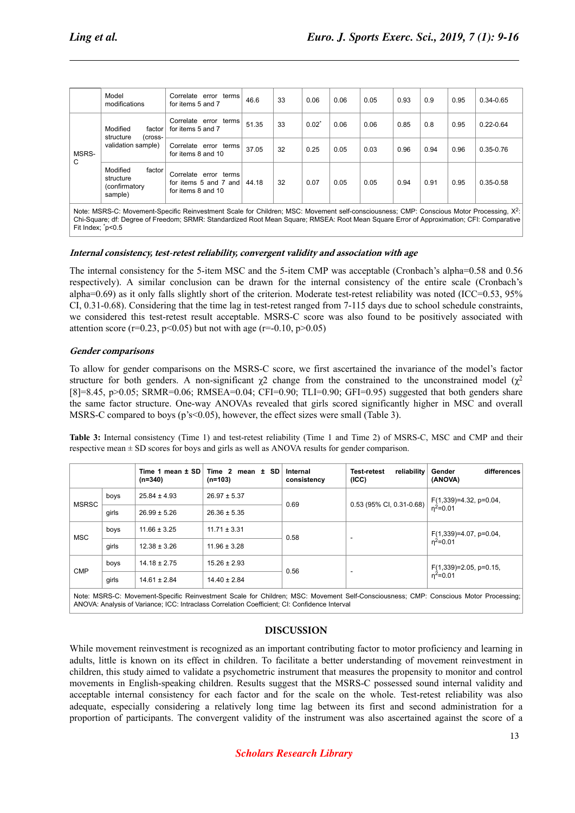|            | Model<br>modifications                                           | Correlate error terms<br>for items 5 and 7                           | 46.6  | 33 | 0.06             | 0.06 | 0.05 | 0.93 | 0.9  | 0.95 | 0.34-0.65     |
|------------|------------------------------------------------------------------|----------------------------------------------------------------------|-------|----|------------------|------|------|------|------|------|---------------|
| MSRS-<br>C | Modified<br>factor<br>structure<br>(cross-<br>validation sample) | Correlate error terms<br>for items 5 and 7                           | 51.35 | 33 | $0.02^{\degree}$ | 0.06 | 0.06 | 0.85 | 0.8  | 0.95 | $0.22 - 0.64$ |
|            |                                                                  | Correlate error terms<br>for items 8 and 10                          | 37.05 | 32 | 0.25             | 0.05 | 0.03 | 0.96 | 0.94 | 0.96 | $0.35 - 0.76$ |
|            | Modified<br>factor<br>structure<br>(confirmatory<br>sample)      | Correlate error terms<br>for items 5 and 7 and<br>for items 8 and 10 | 44.18 | 32 | 0.07             | 0.05 | 0.05 | 0.94 | 0.91 | 0.95 | $0.35 - 0.58$ |

Note: MSRS-C: Movement-Specific Reinvestment Scale for Children; MSC: Movement self-consciousness; CMP: Conscious Motor Processing, X<sup>2</sup>: Chi-Square; df: Degree of Freedom; SRMR: Standardized Root Mean Square; RMSEA: Root Mean Square Error of Approximation; CFI: Comparative Fit Index: \*p<0.5

#### **Internal consistency, test-retest reliability, convergent validity and association with age**

The internal consistency for the 5-item MSC and the 5-item CMP was acceptable (Cronbach's alpha=0.58 and 0.56 respectively). A similar conclusion can be drawn for the internal consistency of the entire scale (Cronbach's alpha=0.69) as it only falls slightly short of the criterion. Moderate test-retest reliability was noted (ICC=0.53, 95% CI, 0.31-0.68). Considering that the time lag in test-retest ranged from 7-115 days due to school schedule constraints, we considered this test-retest result acceptable. MSRS-C score was also found to be positively associated with attention score (r=0.23, p<0.05) but not with age (r=-0.10, p>0.05)

#### **Gender comparisons**

To allow for gender comparisons on the MSRS-C score, we first ascertained the invariance of the model's factor structure for both genders. A non-significant  $\chi^2$  change from the constrained to the unconstrained model  $(\chi^2)$ [8]=8.45, p>0.05; SRMR=0.06; RMSEA=0.04; CFI=0.90; TLI=0.90; GFI=0.95) suggested that both genders share the same factor structure. One-way ANOVAs revealed that girls scored significantly higher in MSC and overall MSRS-C compared to boys (p's<0.05), however, the effect sizes were small (Table 3).

**Table 3:** Internal consistency (Time 1) and test-retest reliability (Time 1 and Time 2) of MSRS-C, MSC and CMP and their respective mean ± SD scores for boys and girls as well as ANOVA results for gender comparison.

|                                                                                                                                     |       | Time 1 mean $\pm$ SD<br>$(n=340)$ | Time 2 mean $\pm$ SD<br>$(n=103)$ | Internal<br>consistency | reliability<br>Test-retest<br>(ICC) | differences<br>Gender<br>(ANOVA)          |  |  |
|-------------------------------------------------------------------------------------------------------------------------------------|-------|-----------------------------------|-----------------------------------|-------------------------|-------------------------------------|-------------------------------------------|--|--|
| <b>MSRSC</b>                                                                                                                        | boys  | $25.84 \pm 4.93$                  | $26.97 \pm 5.37$                  | 0.69                    | $0.53$ (95% CI, 0.31-0.68)          | $F(1,339)=4.32$ , p=0.04,<br>$n^2 = 0.01$ |  |  |
|                                                                                                                                     | girls | $26.99 \pm 5.26$                  | $26.36 \pm 5.35$                  |                         |                                     |                                           |  |  |
| <b>MSC</b>                                                                                                                          | boys  | $11.66 \pm 3.25$                  | $11.71 \pm 3.31$                  | 0.58                    |                                     | $F(1,339)=4.07$ , p=0.04,                 |  |  |
|                                                                                                                                     | qirls | $12.38 \pm 3.26$                  | $11.96 \pm 3.28$                  |                         | ٠                                   | $n^2=0.01$                                |  |  |
| <b>CMP</b>                                                                                                                          | boys  | $14.18 \pm 2.75$                  | $15.26 \pm 2.93$                  | 0.56                    |                                     | $F(1,339)=2.05$ , p=0.15,                 |  |  |
|                                                                                                                                     | girls | $14.61 \pm 2.84$                  | $14.40 \pm 2.84$                  |                         | $\overline{\phantom{a}}$            | $n^2 = 0.01$                              |  |  |
| Note: MSRS-C: Movement-Specific Reinvestment Scale for Children; MSC: Movement Self-Consciousness; CMP: Conscious Motor Processing; |       |                                   |                                   |                         |                                     |                                           |  |  |

Note: MSRS-C: Movement-Specific Reinvestment Scale for Children; MSC: Movement Self-Consciousness; CMP: Conscious Motor Processing; ANOVA: Analysis of Variance; ICC: Intraclass Correlation Coefficient; CI: Confidence Interval

# **DISCUSSION**

While movement reinvestment is recognized as an important contributing factor to motor proficiency and learning in adults, little is known on its effect in children. To facilitate a better understanding of movement reinvestment in children, this study aimed to validate a psychometric instrument that measures the propensity to monitor and control movements in English-speaking children. Results suggest that the MSRS-C possessed sound internal validity and acceptable internal consistency for each factor and for the scale on the whole. Test-retest reliability was also adequate, especially considering a relatively long time lag between its first and second administration for a proportion of participants. The convergent validity of the instrument was also ascertained against the score of a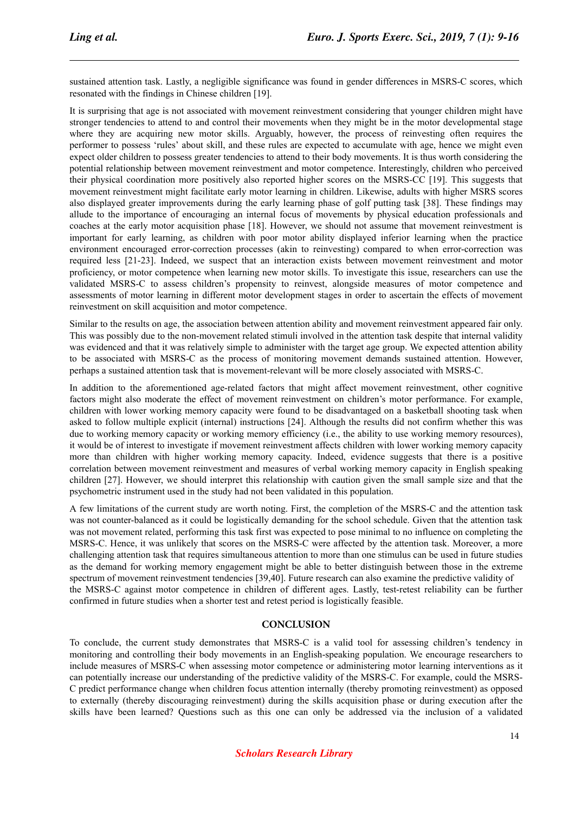sustained attention task. Lastly, a negligible significance was found in gender differences in MSRS-C scores, which resonated with the findings in Chinese children [19].

It is surprising that age is not associated with movement reinvestment considering that younger children might have stronger tendencies to attend to and control their movements when they might be in the motor developmental stage where they are acquiring new motor skills. Arguably, however, the process of reinvesting often requires the performer to possess 'rules' about skill, and these rules are expected to accumulate with age, hence we might even expect older children to possess greater tendencies to attend to their body movements. It is thus worth considering the potential relationship between movement reinvestment and motor competence. Interestingly, children who perceived their physical coordination more positively also reported higher scores on the MSRS-CC [19]. This suggests that movement reinvestment might facilitate early motor learning in children. Likewise, adults with higher MSRS scores also displayed greater improvements during the early learning phase of golf putting task [38]. These findings may allude to the importance of encouraging an internal focus of movements by physical education professionals and coaches at the early motor acquisition phase [18]. However, we should not assume that movement reinvestment is important for early learning, as children with poor motor ability displayed inferior learning when the practice environment encouraged error-correction processes (akin to reinvesting) compared to when error-correction was required less [21-23]. Indeed, we suspect that an interaction exists between movement reinvestment and motor proficiency, or motor competence when learning new motor skills. To investigate this issue, researchers can use the validated MSRS-C to assess children's propensity to reinvest, alongside measures of motor competence and assessments of motor learning in different motor development stages in order to ascertain the effects of movement reinvestment on skill acquisition and motor competence.

Similar to the results on age, the association between attention ability and movement reinvestment appeared fair only. This was possibly due to the non-movement related stimuli involved in the attention task despite that internal validity was evidenced and that it was relatively simple to administer with the target age group. We expected attention ability to be associated with MSRS-C as the process of monitoring movement demands sustained attention. However, perhaps a sustained attention task that is movement-relevant will be more closely associated with MSRS-C.

In addition to the aforementioned age-related factors that might affect movement reinvestment, other cognitive factors might also moderate the effect of movement reinvestment on children's motor performance. For example, children with lower working memory capacity were found to be disadvantaged on a basketball shooting task when asked to follow multiple explicit (internal) instructions [24]. Although the results did not confirm whether this was due to working memory capacity or working memory efficiency (i.e., the ability to use working memory resources), it would be of interest to investigate if movement reinvestment affects children with lower working memory capacity more than children with higher working memory capacity. Indeed, evidence suggests that there is a positive correlation between movement reinvestment and measures of verbal working memory capacity in English speaking children [27]. However, we should interpret this relationship with caution given the small sample size and that the psychometric instrument used in the study had not been validated in this population.

A few limitations of the current study are worth noting. First, the completion of the MSRS-C and the attention task was not counter-balanced as it could be logistically demanding for the school schedule. Given that the attention task was not movement related, performing this task first was expected to pose minimal to no influence on completing the MSRS-C. Hence, it was unlikely that scores on the MSRS-C were affected by the attention task. Moreover, a more challenging attention task that requires simultaneous attention to more than one stimulus can be used in future studies as the demand for working memory engagement might be able to better distinguish between those in the extreme spectrum of movement reinvestment tendencies [39,40]. Future research can also examine the predictive validity of the MSRS-C against motor competence in children of different ages. Lastly, test-retest reliability can be further confirmed in future studies when a shorter test and retest period is logistically feasible.

#### **CONCLUSION**

To conclude, the current study demonstrates that MSRS-C is a valid tool for assessing children's tendency in monitoring and controlling their body movements in an English-speaking population. We encourage researchers to include measures of MSRS-C when assessing motor competence or administering motor learning interventions as it can potentially increase our understanding of the predictive validity of the MSRS-C. For example, could the MSRS-C predict performance change when children focus attention internally (thereby promoting reinvestment) as opposed to externally (thereby discouraging reinvestment) during the skills acquisition phase or during execution after the skills have been learned? Questions such as this one can only be addressed via the inclusion of a validated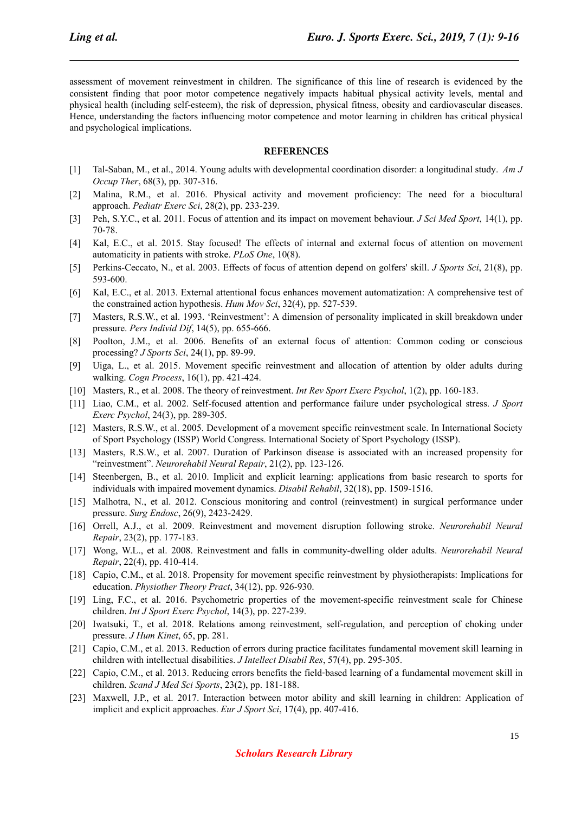assessment of movement reinvestment in children. The significance of this line of research is evidenced by the consistent finding that poor motor competence negatively impacts habitual physical activity levels, mental and physical health (including self-esteem), the risk of depression, physical fitness, obesity and cardiovascular diseases. Hence, understanding the factors influencing motor competence and motor learning in children has critical physical and psychological implications.

### **REFERENCES**

- [1] Tal-Saban, M., et al., 2014. Young adults with developmental coordination disorder: a longitudinal study. *Am J Occup Ther*, 68(3), pp. 307-316.
- [2] Malina, R.M., et al. 2016. Physical activity and movement proficiency: The need for a biocultural approach. *Pediatr Exerc Sci*, 28(2), pp. 233-239.
- [3] Peh, S.Y.C., et al. 2011. Focus of attention and its impact on movement behaviour. *J Sci Med Sport*, 14(1), pp. 70-78.
- [4] Kal, E.C., et al. 2015. Stay focused! The effects of internal and external focus of attention on movement automaticity in patients with stroke. *PLoS One*, 10(8).
- [5] Perkins-Ceccato, N., et al. 2003. Effects of focus of attention depend on golfers' skill. *J Sports Sci*, 21(8), pp. 593-600.
- [6] Kal, E.C., et al. 2013. External attentional focus enhances movement automatization: A comprehensive test of the constrained action hypothesis. *Hum Mov Sci*, 32(4), pp. 527-539.
- [7] Masters, R.S.W., et al. 1993. 'Reinvestment': A dimension of personality implicated in skill breakdown under pressure. *Pers Individ Dif*, 14(5), pp. 655-666.
- [8] Poolton, J.M., et al. 2006. Benefits of an external focus of attention: Common coding or conscious processing? *J Sports Sci*, 24(1), pp. 89-99.
- [9] Uiga, L., et al. 2015. Movement specific reinvestment and allocation of attention by older adults during walking. *Cogn Process*, 16(1), pp. 421-424.
- [10] Masters, R., et al. 2008. The theory of reinvestment. *Int Rev Sport Exerc Psychol*, 1(2), pp. 160-183.
- [11] Liao, C.M., et al. 2002. Self-focused attention and performance failure under psychological stress. *J Sport Exerc Psychol*, 24(3), pp. 289-305.
- [12] Masters, R.S.W., et al. 2005. Development of a movement specific reinvestment scale. In International Society of Sport Psychology (ISSP) World Congress. International Society of Sport Psychology (ISSP).
- [13] Masters, R.S.W., et al. 2007. Duration of Parkinson disease is associated with an increased propensity for "reinvestment". *Neurorehabil Neural Repair*, 21(2), pp. 123-126.
- [14] Steenbergen, B., et al. 2010. Implicit and explicit learning: applications from basic research to sports for individuals with impaired movement dynamics. *Disabil Rehabil*, 32(18), pp. 1509-1516.
- [15] Malhotra, N., et al. 2012. Conscious monitoring and control (reinvestment) in surgical performance under pressure. *Surg Endosc*, 26(9), 2423-2429.
- [16] Orrell, A.J., et al. 2009. Reinvestment and movement disruption following stroke. *Neurorehabil Neural Repair*, 23(2), pp. 177-183.
- [17] Wong, W.L., et al. 2008. Reinvestment and falls in community-dwelling older adults. *Neurorehabil Neural Repair*, 22(4), pp. 410-414.
- [18] Capio, C.M., et al. 2018. Propensity for movement specific reinvestment by physiotherapists: Implications for education. *Physiother Theory Pract*, 34(12), pp. 926-930.
- [19] Ling, F.C., et al. 2016. Psychometric properties of the movement-specific reinvestment scale for Chinese children. *Int J Sport Exerc Psychol*, 14(3), pp. 227-239.
- [20] Iwatsuki, T., et al. 2018. Relations among reinvestment, self-regulation, and perception of choking under pressure. *J Hum Kinet*, 65, pp. 281.
- [21] Capio, C.M., et al. 2013. Reduction of errors during practice facilitates fundamental movement skill learning in children with intellectual disabilities. *J Intellect Disabil Res*, 57(4), pp. 295-305.
- [22] Capio, C.M., et al. 2013. Reducing errors benefits the field-based learning of a fundamental movement skill in children. *Scand J Med Sci Sports*, 23(2), pp. 181-188.
- [23] Maxwell, J.P., et al. 2017. Interaction between motor ability and skill learning in children: Application of implicit and explicit approaches. *Eur J Sport Sci*, 17(4), pp. 407-416.